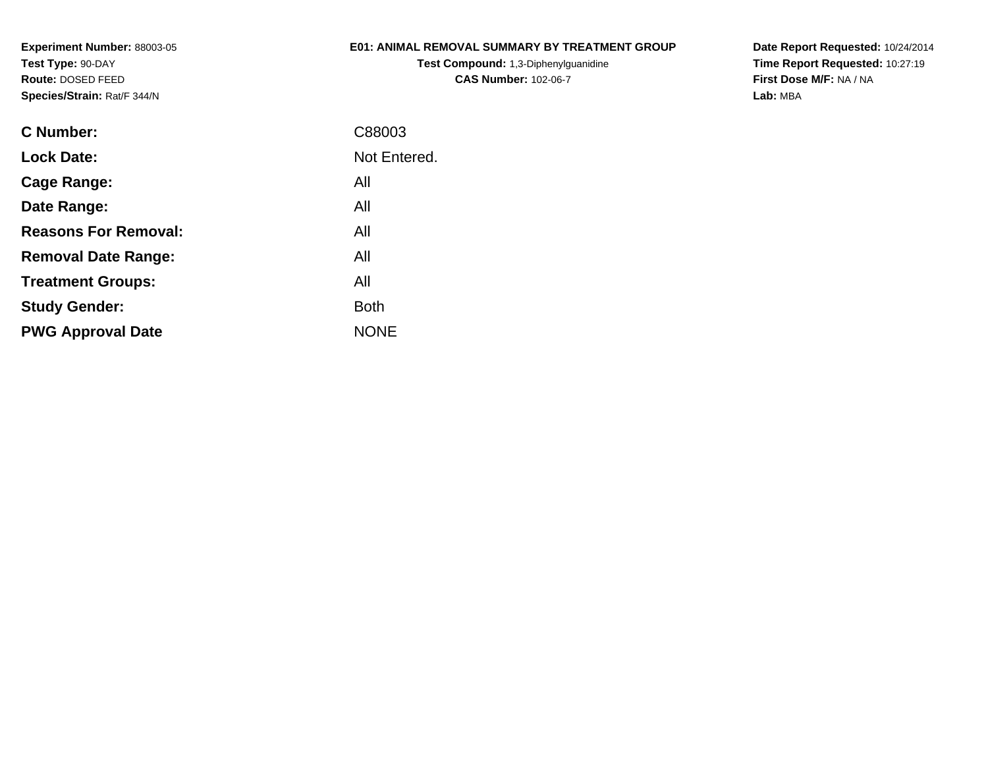## **E01: ANIMAL REMOVAL SUMMARY BY TREATMENT GROUP**

**Test Compound:** 1,3-Diphenylguanidine**CAS Number:** 102-06-7

**Date Report Requested:** 10/24/2014 **Time Report Requested:** 10:27:19**First Dose M/F:** NA / NA**Lab:** MBA

| C Number:                   | C88003       |
|-----------------------------|--------------|
| <b>Lock Date:</b>           | Not Entered. |
| Cage Range:                 | All          |
| Date Range:                 | All          |
| <b>Reasons For Removal:</b> | All          |
| <b>Removal Date Range:</b>  | All          |
| <b>Treatment Groups:</b>    | All          |
| <b>Study Gender:</b>        | <b>Both</b>  |
| <b>PWG Approval Date</b>    | <b>NONE</b>  |
|                             |              |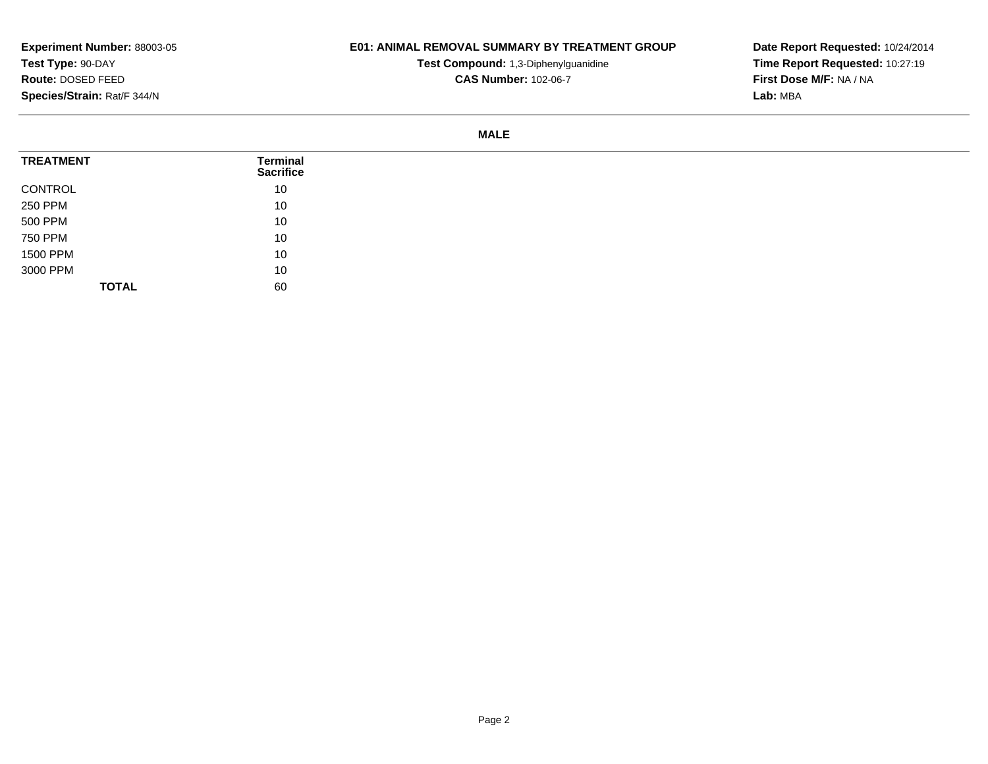## **E01: ANIMAL REMOVAL SUMMARY BY TREATMENT GROUP**

**Test Compound:** 1,3-Diphenylguanidine**CAS Number:** 102-06-7

**Date Report Requested:** 10/24/2014**Time Report Requested:** 10:27:19**First Dose M/F:** NA / NA**Lab:** MBA

#### **MALE**

| <b>TREATMENT</b> | Terminal<br><b>Sacrifice</b> |
|------------------|------------------------------|
| CONTROL          | 10                           |
| 250 PPM          | 10                           |
| 500 PPM          | 10                           |
| 750 PPM          | 10                           |
| 1500 PPM         | 10                           |
| 3000 PPM         | 10                           |
| <b>TOTAL</b>     | 60                           |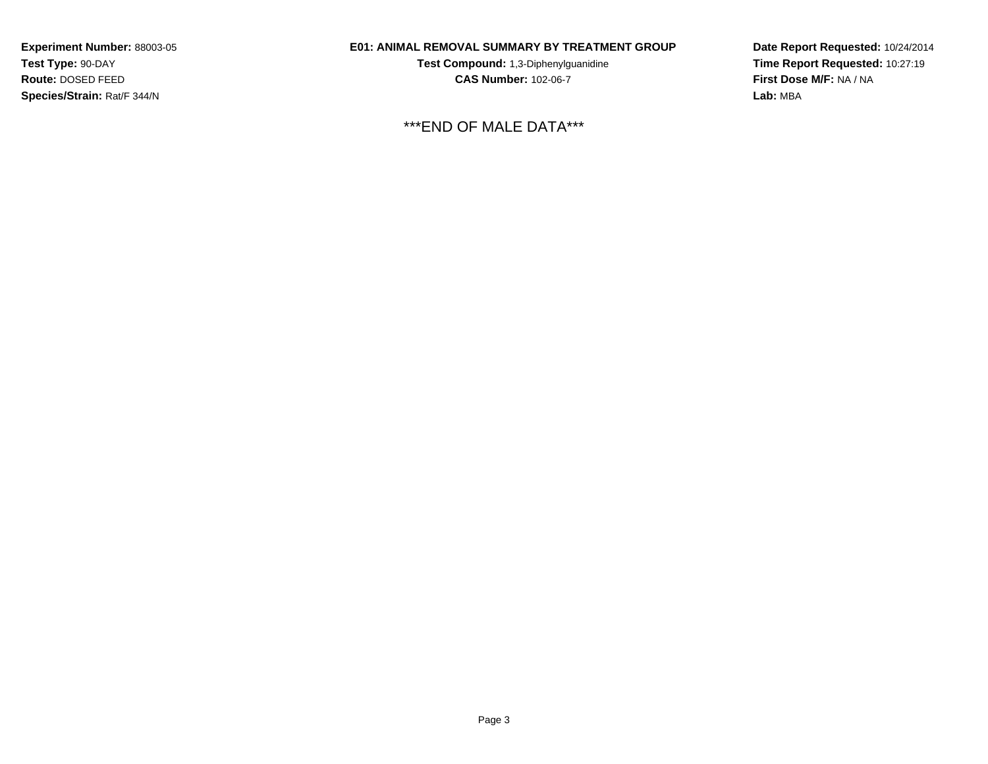## **E01: ANIMAL REMOVAL SUMMARY BY TREATMENT GROUP**

**Test Compound:** 1,3-Diphenylguanidine**CAS Number:** 102-06-7

\*\*\*END OF MALE DATA\*\*\*

**Date Report Requested:** 10/24/2014**Time Report Requested:** 10:27:19**First Dose M/F:** NA / NA**Lab:** MBA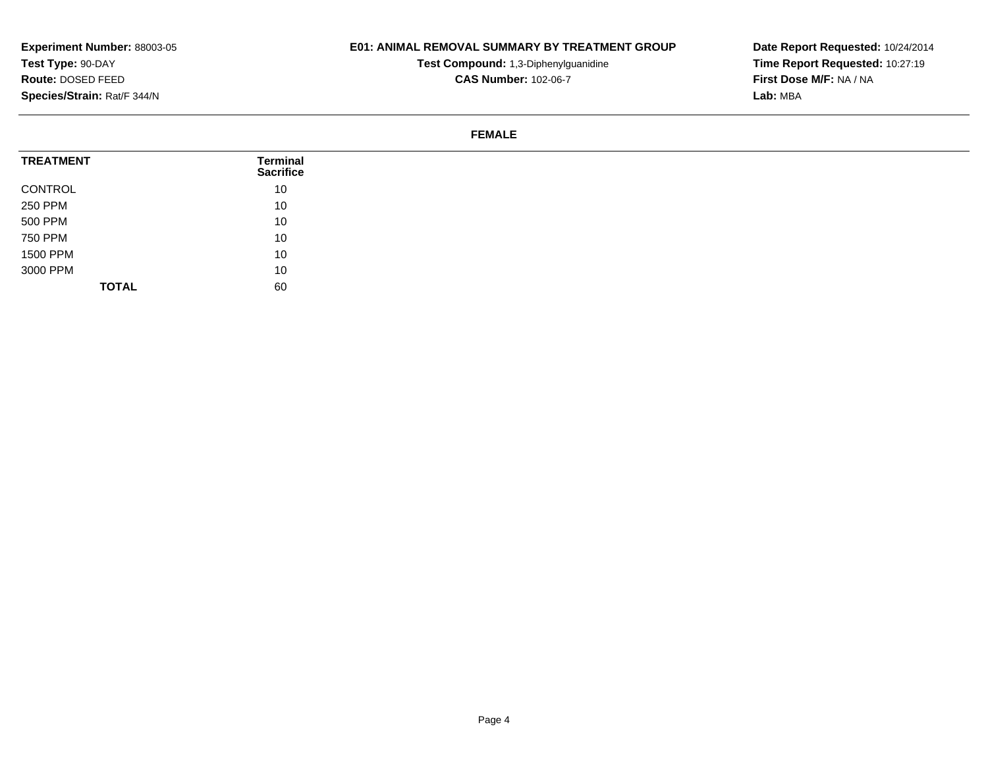## **E01: ANIMAL REMOVAL SUMMARY BY TREATMENT GROUP**

**Test Compound:** 1,3-Diphenylguanidine**CAS Number:** 102-06-7

**Date Report Requested:** 10/24/2014**Time Report Requested:** 10:27:19**First Dose M/F:** NA / NA**Lab:** MBA

#### **FEMALE**

| <b>TREATMENT</b> | Terminal<br><b>Sacrifice</b> |  |
|------------------|------------------------------|--|
| CONTROL          | 10                           |  |
| 250 PPM          | 10                           |  |
| 500 PPM          | 10                           |  |
| 750 PPM          | 10                           |  |
| 1500 PPM         | 10                           |  |
| 3000 PPM         | 10                           |  |
| <b>TOTAL</b>     | 60                           |  |